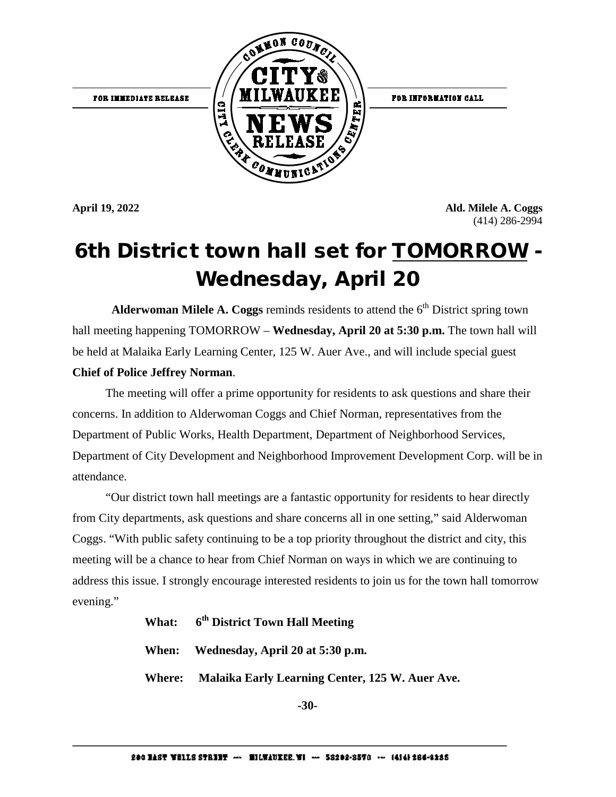FOR IMMEDIATE RELEASE



FOR INFORMATION CALL

**April 19, 2022 Ald. Milele A. Coggs**  (414) 286-2994

#### 6th District town hall set for TOMORROW Wednesday, April 20

**Alderwoman Milele A. Coggs** reminds residents to attend the  $6<sup>th</sup>$  District spring town hall meeting happening TOMORROW – **Wednesday, April 20 at 5:30 p.m.** The town hall will be held at Malaika Early Learning Center, 125 W. Auer Ave., and will include special guest **Chief of Police Jeffrey Norman**.

The meeting will offer a prime opportunity for residents to ask questions and share their concerns. In addition to Alderwoman Coggs and Chief Norman, representatives from the Department of Public Works, Health Department, Department of Neighborhood Services, Department of City Development and Neighborhood Improvement Development Corp. will be in attendance.

 "Our district town hall meetings are a fantastic opportunity for residents to hear directly from City departments, ask questions and share concerns all in one setting," said Alderwoman Coggs. "With public safety continuing to be a top priority throughout the district and city, this meeting will be a chance to hear from Chief Norman on ways in which we are continuing to address this issue. I strongly encourage interested residents to join us for the town hall tomorrow evening."

| What: 6 <sup>th</sup> District Town Hall Meeting       |
|--------------------------------------------------------|
| When: Wednesday, April 20 at 5:30 p.m.                 |
| Where: Malaika Early Learning Center, 125 W. Auer Ave. |

**-30-**